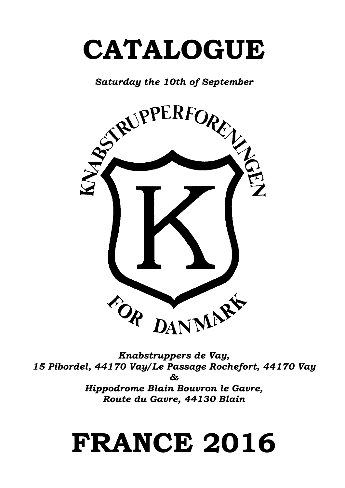# **CATALOGUE**



*Knabstruppers de Vay, 15 Pibordel, 44170 Vay/ Le Passage Rochefort, 44170 Vay & Hippodrome Blain Bouvron le Gavre,* 

*Route du Gavre, 44130 Blain*

# **FRANCE 2016**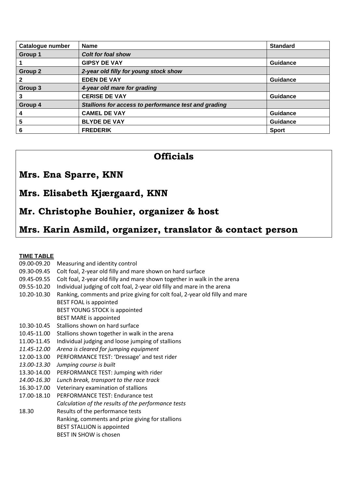| Catalogue number | <b>Name</b>                                          | <b>Standard</b> |
|------------------|------------------------------------------------------|-----------------|
| Group 1          | <b>Colt for foal show</b>                            |                 |
|                  | <b>GIPSY DE VAY</b>                                  | <b>Guidance</b> |
| Group 2          | 2-year old filly for young stock show                |                 |
|                  | <b>EDEN DE VAY</b>                                   | <b>Guidance</b> |
| Group 3          | 4-year old mare for grading                          |                 |
| 3                | <b>CERISE DE VAY</b>                                 | <b>Guidance</b> |
| Group 4          | Stallions for access to performance test and grading |                 |
| 4                | <b>CAMEL DE VAY</b>                                  | <b>Guidance</b> |
| 5                | <b>BLYDE DE VAY</b>                                  | <b>Guidance</b> |
| 6                | <b>FREDERIK</b>                                      | <b>Sport</b>    |

## **Officials**

# **Mrs. Ena Sparre, KNN**

## **Mrs. Elisabeth Kjærgaard, KNN**

# **Mr. Christophe Bouhier, organizer & host**

# **Mrs. Karin Asmild, organizer, translator & contact person**

#### **TIME TABLE**

| 09.00-09.20 | Measuring and identity control                                              |
|-------------|-----------------------------------------------------------------------------|
| 09.30-09.45 | Colt foal, 2-year old filly and mare shown on hard surface                  |
| 09.45-09.55 | Colt foal, 2-year old filly and mare shown together in walk in the arena    |
| 09.55-10.20 | Individual judging of colt foal, 2-year old filly and mare in the arena     |
| 10.20-10.30 | Ranking, comments and prize giving for colt foal, 2-year old filly and mare |
|             | <b>BEST FOAL is appointed</b>                                               |
|             | BEST YOUNG STOCK is appointed                                               |
|             | <b>BEST MARE is appointed</b>                                               |
| 10.30-10.45 | Stallions shown on hard surface                                             |
| 10.45-11.00 | Stallions shown together in walk in the arena                               |
| 11.00-11.45 | Individual judging and loose jumping of stallions                           |
| 11.45-12.00 | Arena is cleared for jumping equipment                                      |
| 12.00-13.00 | PERFORMANCE TEST: 'Dressage' and test rider                                 |
| 13.00-13.30 | Jumping course is built                                                     |
| 13.30-14.00 | PERFORMANCE TEST: Jumping with rider                                        |
| 14.00-16.30 | Lunch break, transport to the race track                                    |
| 16.30-17.00 | Veterinary examination of stallions                                         |
| 17.00-18.10 | PERFORMANCE TEST: Endurance test                                            |
|             | Calculation of the results of the performance tests                         |
| 18.30       | Results of the performance tests                                            |
|             | Ranking, comments and prize giving for stallions                            |
|             | <b>BEST STALLION is appointed</b>                                           |
|             | <b>BEST IN SHOW is chosen</b>                                               |
|             |                                                                             |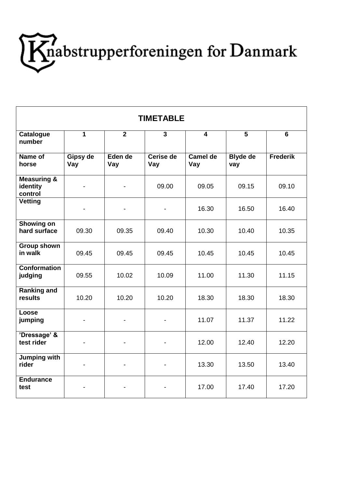

| <b>TIMETABLE</b>                              |                 |                |                          |                         |                        |                 |
|-----------------------------------------------|-----------------|----------------|--------------------------|-------------------------|------------------------|-----------------|
| <b>Catalogue</b><br>number                    | $\overline{1}$  | $\overline{2}$ | 3                        | $\overline{\mathbf{A}}$ | $\overline{5}$         | $\overline{6}$  |
| Name of<br>horse                              | Gipsy de<br>Vay | Eden de<br>Vay | Cerise de<br>Vay         | Camel de<br>Vay         | <b>Blyde de</b><br>vay | <b>Frederik</b> |
| <b>Measuring &amp;</b><br>identity<br>control |                 |                | 09.00                    | 09.05                   | 09.15                  | 09.10           |
| <b>Vetting</b>                                |                 |                | $\overline{\phantom{a}}$ | 16.30                   | 16.50                  | 16.40           |
| Showing on<br>hard surface                    | 09.30           | 09.35          | 09.40                    | 10.30                   | 10.40                  | 10.35           |
| <b>Group shown</b><br>in walk                 | 09.45           | 09.45          | 09.45                    | 10.45                   | 10.45                  | 10.45           |
| <b>Conformation</b><br>judging                | 09.55           | 10.02          | 10.09                    | 11.00                   | 11.30                  | 11.15           |
| <b>Ranking and</b><br>results                 | 10.20           | 10.20          | 10.20                    | 18.30                   | 18.30                  | 18.30           |
| Loose<br>jumping                              |                 |                | $\overline{\phantom{0}}$ | 11.07                   | 11.37                  | 11.22           |
| 'Dressage' &<br>test rider                    |                 |                | $\overline{\phantom{a}}$ | 12.00                   | 12.40                  | 12.20           |
| Jumping with<br>rider                         |                 |                |                          | 13.30                   | 13.50                  | 13.40           |
| <b>Endurance</b><br>test                      |                 |                |                          | 17.00                   | 17.40                  | 17.20           |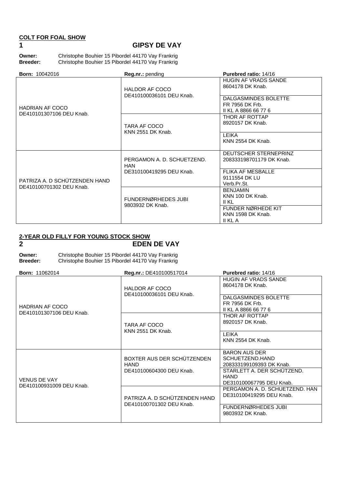### **COLT FOR FOAL SHOW**

### **1 GIPSY DE VAY**

**Owner:** Christophe Bouhier 15 Pibordel 44170 Vay Frankrig<br> **Breeder:** Christophe Bouhier 15 Pibordel 44170 Vay Frankrig **Breeder:** Christophe Bouhier 15 Pibordel 44170 Vay Frankrig

| <b>Born: 10042016</b>                                     | Reg.nr.: pending                                  | <b>Purebred ratio: 14/16</b>                                                               |
|-----------------------------------------------------------|---------------------------------------------------|--------------------------------------------------------------------------------------------|
|                                                           | <b>HALDOR AF COCO</b><br>DE410100036101 DEU Knab. | <b>HUGIN AF VRADS SANDE</b><br>8604178 DK Knab.<br>DALGASMINDES BOLETTE<br>FR 7956 DK Frb. |
| <b>HADRIAN AF COCO</b><br>DE410101307106 DEU Knab.        |                                                   | II KL A 8866 66 77 6                                                                       |
|                                                           | TARA AF COCO                                      | THOR AF ROTTAP<br>8920157 DK Knab.                                                         |
|                                                           | <b>KNN 2551 DK Knab.</b>                          | LEIKA<br><b>KNN 2554 DK Knab.</b>                                                          |
|                                                           | PERGAMON A. D. SCHUETZEND.<br>HAN                 | DEUTSCHER STERNEPRINZ<br>208333198701179 DK Knab.                                          |
| PATRIZA A. D SCHÜTZENDEN HAND<br>DE410100701302 DEU Knab. | DE310100419295 DEU Knab.                          | <b>FLIKA AF MESBALLE</b><br>9111554 DK LU<br>Verb.Pr.St.                                   |
|                                                           | FUNDERNØRHEDES JUBI                               | <b>BENJAMIN</b><br>KNN 100 DK Knab.<br>II KL                                               |
|                                                           | 9803932 DK Knab.                                  | FUNDER NØRHEDE KIT<br><b>KNN 1598 DK Knab.</b><br>II KL A                                  |

#### **2-YEAR OLD FILLY FOR YOUNG STOCK SHOW**

# **2 EDEN DE VAY**

| Owner:          | Christophe Bouhier 15 Pibordel 44170 Vay Frankrig |
|-----------------|---------------------------------------------------|
| <b>Breeder:</b> | Christophe Bouhier 15 Pibordel 44170 Vay Frankrig |

| <b>Born: 11062014</b>                              | Reg.nr.: DE410100517014                                   | <b>Purebred ratio: 14/16</b>                                                                                                                                                                                                                                                                                                                                                                        |
|----------------------------------------------------|-----------------------------------------------------------|-----------------------------------------------------------------------------------------------------------------------------------------------------------------------------------------------------------------------------------------------------------------------------------------------------------------------------------------------------------------------------------------------------|
|                                                    | <b>HALDOR AF COCO</b><br>DE410100036101 DEU Knab.         | <b>HUGIN AF VRADS SANDE</b><br>8604178 DK Knab.                                                                                                                                                                                                                                                                                                                                                     |
| <b>HADRIAN AF COCO</b><br>DE410101307106 DEU Knab. |                                                           | DALGASMINDES BOLETTE<br>FR 7956 DK Frb.<br>II KL A 8866 66 77 6<br>THOR AF ROTTAP<br>8920157 DK Knab.<br>LEIKA<br>KNN 2554 DK Knab.<br><b>BARON AUS DER</b><br>SCHUETZEND.HAND<br>208333199109393 DK Knab.<br>STARLETT A. DER SCHUTZEND.<br><b>HAND</b><br>DE310100067795 DEU Knab.<br>PERGAMON A. D. SCHUETZEND. HAN<br>DE310100419295 DEU Knab.<br><b>FUNDERNØRHEDES JUBI</b><br>9803932 DK Knab. |
|                                                    | TARA AF COCO<br><b>KNN 2551 DK Knab.</b>                  |                                                                                                                                                                                                                                                                                                                                                                                                     |
|                                                    |                                                           |                                                                                                                                                                                                                                                                                                                                                                                                     |
|                                                    | BOXTER AUS DER SCHÜTZENDEN<br><b>HAND</b>                 |                                                                                                                                                                                                                                                                                                                                                                                                     |
| <b>VENUS DE VAY</b><br>DE410100931009 DEU Knab.    | DE410100604300 DEU Knab.                                  |                                                                                                                                                                                                                                                                                                                                                                                                     |
|                                                    | PATRIZA A. D SCHÜTZENDEN HAND<br>DE410100701302 DEU Knab. |                                                                                                                                                                                                                                                                                                                                                                                                     |
|                                                    |                                                           |                                                                                                                                                                                                                                                                                                                                                                                                     |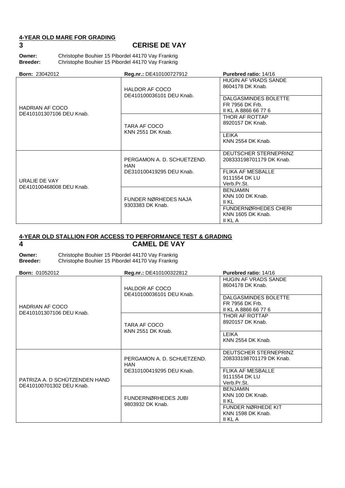# **4-YEAR OLD MARE FOR GRADING**

#### **3 CERISE DE VAY**

**Owner:** Christophe Bouhier 15 Pibordel 44170 Vay Frankrig<br>**Breeder:** Christophe Bouhier 15 Pibordel 44170 Vay Frankrig **Breeder:** Christophe Bouhier 15 Pibordel 44170 Vay Frankrig

| <b>Born: 23042012</b>                              | Reg.nr.: DE410100727912                           | <b>Purebred ratio: 14/16</b>                                       |
|----------------------------------------------------|---------------------------------------------------|--------------------------------------------------------------------|
|                                                    | <b>HALDOR AF COCO</b><br>DE410100036101 DEU Knab. | <b>HUGIN AF VRADS SANDE</b><br>8604178 DK Knab.                    |
| <b>HADRIAN AF COCO</b><br>DE410101307106 DEU Knab. |                                                   | DALGASMINDES BOLETTE<br>FR 7956 DK Frb.<br>II KL A 8866 66 77 6    |
|                                                    | TARA AF COCO<br><b>KNN 2551 DK Knab.</b>          | THOR AF ROTTAP<br>8920157 DK Knab.                                 |
|                                                    |                                                   | LEIKA<br>KNN 2554 DK Knab.                                         |
|                                                    | PERGAMON A. D. SCHUETZEND.<br><b>HAN</b>          | DEUTSCHER STERNEPRINZ<br>208333198701179 DK Knab.                  |
| URALIE DE VAY<br>DE410100468008 DEU Knab.          | DE310100419295 DEU Knab.                          | <b>FLIKA AF MESBALLE</b><br>9111554 DK LU<br>Verb.Pr.St.           |
|                                                    | FUNDER NØRHEDES NAJA                              | <b>BENJAMIN</b><br>KNN 100 DK Knab.<br>II KL                       |
|                                                    | 9303383 DK Knab.                                  | <b>FUNDERNØRHEDES CHERI</b><br><b>KNN 1605 DK Knab.</b><br>II KL A |

#### **4-YEAR OLD STALLION FOR ACCESS TO PERFORMANCE TEST & GRADING 4 CAMEL DE VAY**

| Owner:          | Christophe Bouhier 15 Pibordel 44170 Vay Frankrig |
|-----------------|---------------------------------------------------|
| <b>Breeder:</b> | Christophe Bouhier 15 Pibordel 44170 Vay Frankrig |

| <b>Born: 01052012</b>                                     | Reg.nr.: DE410100322812                           | Purebred ratio: 14/16                                                                                                                                                                                                                               |
|-----------------------------------------------------------|---------------------------------------------------|-----------------------------------------------------------------------------------------------------------------------------------------------------------------------------------------------------------------------------------------------------|
|                                                           | <b>HALDOR AF COCO</b><br>DE410100036101 DEU Knab. | <b>HUGIN AF VRADS SANDE</b><br>8604178 DK Knab.                                                                                                                                                                                                     |
| <b>HADRIAN AF COCO</b><br>DE410101307106 DEU Knab.        |                                                   | <b>DALGASMINDES BOLETTE</b><br>FR 7956 DK Frb.<br>II KL A 8866 66 77 6<br>THOR AF ROTTAP<br>8920157 DK Knab.<br>LEIKA<br><b>KNN 2554 DK Knab.</b><br>DEUTSCHER STERNEPRINZ<br>208333198701179 DK Knab.<br><b>FLIKA AF MESBALLE</b><br>9111554 DK LU |
|                                                           | TARA AF COCO<br><b>KNN 2551 DK Knab.</b>          |                                                                                                                                                                                                                                                     |
|                                                           |                                                   |                                                                                                                                                                                                                                                     |
|                                                           | PERGAMON A. D. SCHUETZEND.<br><b>HAN</b>          |                                                                                                                                                                                                                                                     |
| PATRIZA A. D SCHÜTZENDEN HAND<br>DE410100701302 DEU Knab. | DE310100419295 DEU Knab.                          | Verb.Pr.St.                                                                                                                                                                                                                                         |
|                                                           | FUNDERNØRHEDES JUBI<br>9803932 DK Knab.           | <b>BENJAMIN</b><br>KNN 100 DK Knab.<br>II KL                                                                                                                                                                                                        |
|                                                           |                                                   | FUNDER NØRHEDE KIT<br>KNN 1598 DK Knab.<br>II KL A                                                                                                                                                                                                  |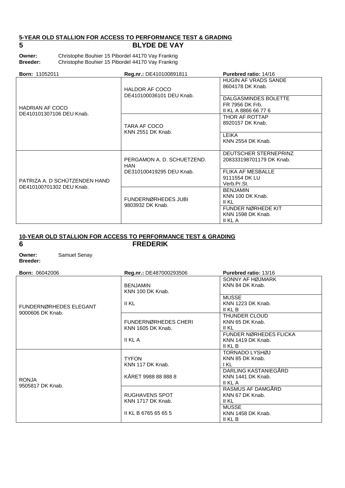#### **5-YEAR OLD STALLION FOR ACCESS TO PERFORMANCE TEST & GRADING 5 BLYDE DE VAY**

| Owner:          | Christophe Bouhier 15 Pibordel 44170 Vay Frankrig |
|-----------------|---------------------------------------------------|
| <b>Breeder:</b> | Christophe Bouhier 15 Pibordel 44170 Vay Frankrig |

| <b>Born: 11052011</b>                                     | Reg.nr.: DE410100891811                           | Purebred ratio: 14/16                                                                                                                                                                                                                                                                                                                                  |
|-----------------------------------------------------------|---------------------------------------------------|--------------------------------------------------------------------------------------------------------------------------------------------------------------------------------------------------------------------------------------------------------------------------------------------------------------------------------------------------------|
|                                                           | <b>HALDOR AF COCO</b><br>DE410100036101 DEU Knab. | <b>HUGIN AF VRADS SANDE</b><br>8604178 DK Knab.                                                                                                                                                                                                                                                                                                        |
| <b>HADRIAN AF COCO</b><br>DE410101307106 DEU Knab.        |                                                   | DALGASMINDES BOLETTE<br>FR 7956 DK Frb.<br>II KL A 8866 66 77 6<br>THOR AF ROTTAP<br>8920157 DK Knab.<br>LEIKA<br><b>KNN 2554 DK Knab.</b><br>DEUTSCHER STERNEPRINZ<br>208333198701179 DK Knab.<br><b>FLIKA AF MESBALLE</b><br>9111554 DK LU<br>Verb.Pr.St.<br><b>BENJAMIN</b><br>KNN 100 DK Knab.<br>II KL<br>FUNDER NØRHEDE KIT<br>KNN 1598 DK Knab. |
|                                                           | TARA AF COCO                                      |                                                                                                                                                                                                                                                                                                                                                        |
|                                                           | KNN 2551 DK Knab.                                 |                                                                                                                                                                                                                                                                                                                                                        |
|                                                           | PERGAMON A. D. SCHUETZEND.<br><b>HAN</b>          |                                                                                                                                                                                                                                                                                                                                                        |
| PATRIZA A. D SCHÜTZENDEN HAND<br>DE410100701302 DEU Knab. | DE310100419295 DEU Knab.                          |                                                                                                                                                                                                                                                                                                                                                        |
|                                                           | FUNDERNØRHEDES JUBI                               |                                                                                                                                                                                                                                                                                                                                                        |
|                                                           | 9803932 DK Knab.                                  | II KL A                                                                                                                                                                                                                                                                                                                                                |

#### **10-YEAR OLD STALLION FOR ACCESS TO PERFORMANCE TEST & GRADING 6 FREDERIK**

**Owner:** Samuel Senay **Breeder:**

**Born:** 06042006 **Reg.nr.:** DE487000293506 **Purebred ratio:** 13/16 FUNDERNØRHEDES ELEGANT 9000606 DK Knab. BENJAMIN KNN 100 DK Knab. II KL SONNY AF HØJMARK KNN 84 DK Knab. **MUSSE** KNN 1223 DK Knab. II KL B FUNDERNØRHEDES CHERI KNN 1605 DK Knab. II KL A THUNDER CLOUD KNN 65 DK Knab. II KL FUNDER NØRHEDES FLICKA KNN 1419 DK Knab. II KL B RONJA 9505817 DK Knab. TYFON KNN 117 DK Knab. KÅRET 9988 88 888 8 TORNADO LYSHØJ KNN 85 DK Knab. I KL DARLING KASTANIEGÅRD KNN 1441 DK Knab. II KL A RUGHAVENS SPOT KNN 1717 DK Knab. II KL B 6765 65 65 5 RASMUS AF DAMGÅRD KNN 67 DK Knab. II KL **MUSSE** KNN 1458 DK Knab. II KL B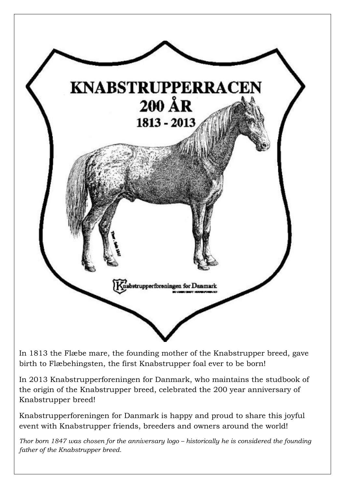

In 1813 the Flæbe mare, the founding mother of the Knabstrupper breed, gave birth to Flæbehingsten, the first Knabstrupper foal ever to be born!

In 2013 Knabstrupperforeningen for Danmark, who maintains the studbook of the origin of the Knabstrupper breed, celebrated the 200 year anniversary of Knabstrupper breed!

Knabstrupperforeningen for Danmark is happy and proud to share this joyful event with Knabstrupper friends, breeders and owners around the world!

*Thor born 1847 was chosen for the anniversary logo – historically he is considered the founding father of the Knabstrupper breed.*